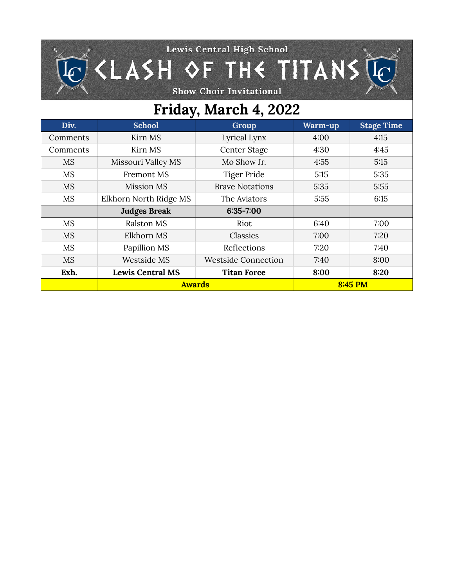## Lewis Central High School  $K$  (LASH OF THE TITANS  $\mathbb{R}$

Show Choir Invitational

 $\left[{\color{red}C}\right]$ 

## **Friday, March 4, 2022**

| Div.      | <b>School</b>           | Group                      | Warm-up | <b>Stage Time</b> |
|-----------|-------------------------|----------------------------|---------|-------------------|
| Comments  | Kirn MS                 | Lyrical Lynx               | 4:00    | 4:15              |
| Comments  | Kirn MS                 | Center Stage               | 4:30    | 4:45              |
| <b>MS</b> | Missouri Valley MS      | Mo Show Jr.                | 4:55    | 5:15              |
| <b>MS</b> | <b>Fremont MS</b>       | Tiger Pride                | 5:15    | 5:35              |
| <b>MS</b> | Mission MS              | <b>Brave Notations</b>     | 5:35    | 5:55              |
| <b>MS</b> | Elkhorn North Ridge MS  | The Aviators               | 5:55    | 6:15              |
|           | <b>Judges Break</b>     | $6:35 - 7:00$              |         |                   |
| <b>MS</b> | Ralston MS              | Riot                       | 6:40    | 7:00              |
| <b>MS</b> | Elkhorn MS              | Classics                   | 7:00    | 7:20              |
| <b>MS</b> | Papillion MS            | Reflections                | 7:20    | 7:40              |
| <b>MS</b> | Westside MS             | <b>Westside Connection</b> | 7:40    | 8:00              |
| Exh.      | <b>Lewis Central MS</b> | <b>Titan Force</b>         | 8:00    | 8:20              |
|           | <b>Awards</b>           |                            | 8:45 PM |                   |